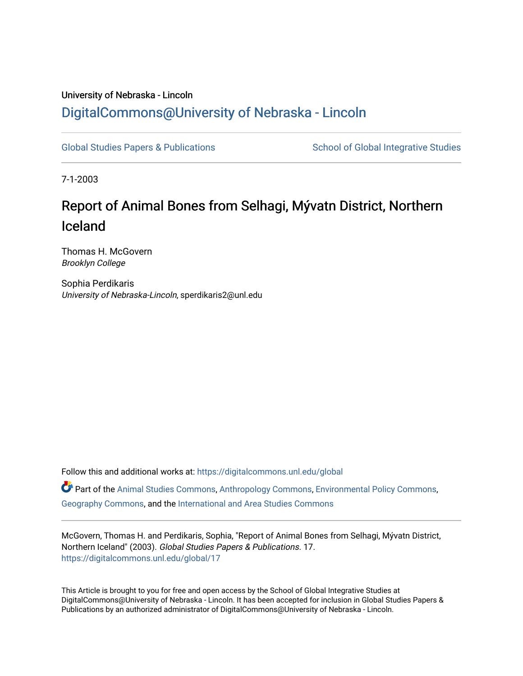## University of Nebraska - Lincoln [DigitalCommons@University of Nebraska - Lincoln](https://digitalcommons.unl.edu/)

[Global Studies Papers & Publications](https://digitalcommons.unl.edu/global) School of Global Integrative Studies

7-1-2003

## Report of Animal Bones from Selhagi, Mývatn District, Northern Iceland

Thomas H. McGovern Brooklyn College

Sophia Perdikaris University of Nebraska-Lincoln, sperdikaris2@unl.edu

Follow this and additional works at: [https://digitalcommons.unl.edu/global](https://digitalcommons.unl.edu/global?utm_source=digitalcommons.unl.edu%2Fglobal%2F17&utm_medium=PDF&utm_campaign=PDFCoverPages)  Part of the [Animal Studies Commons,](http://network.bepress.com/hgg/discipline/1306?utm_source=digitalcommons.unl.edu%2Fglobal%2F17&utm_medium=PDF&utm_campaign=PDFCoverPages) [Anthropology Commons](http://network.bepress.com/hgg/discipline/318?utm_source=digitalcommons.unl.edu%2Fglobal%2F17&utm_medium=PDF&utm_campaign=PDFCoverPages), [Environmental Policy Commons](http://network.bepress.com/hgg/discipline/1027?utm_source=digitalcommons.unl.edu%2Fglobal%2F17&utm_medium=PDF&utm_campaign=PDFCoverPages), [Geography Commons](http://network.bepress.com/hgg/discipline/354?utm_source=digitalcommons.unl.edu%2Fglobal%2F17&utm_medium=PDF&utm_campaign=PDFCoverPages), and the [International and Area Studies Commons](http://network.bepress.com/hgg/discipline/360?utm_source=digitalcommons.unl.edu%2Fglobal%2F17&utm_medium=PDF&utm_campaign=PDFCoverPages) 

McGovern, Thomas H. and Perdikaris, Sophia, "Report of Animal Bones from Selhagi, Mývatn District, Northern Iceland" (2003). Global Studies Papers & Publications. 17. [https://digitalcommons.unl.edu/global/17](https://digitalcommons.unl.edu/global/17?utm_source=digitalcommons.unl.edu%2Fglobal%2F17&utm_medium=PDF&utm_campaign=PDFCoverPages)

This Article is brought to you for free and open access by the School of Global Integrative Studies at DigitalCommons@University of Nebraska - Lincoln. It has been accepted for inclusion in Global Studies Papers & Publications by an authorized administrator of DigitalCommons@University of Nebraska - Lincoln.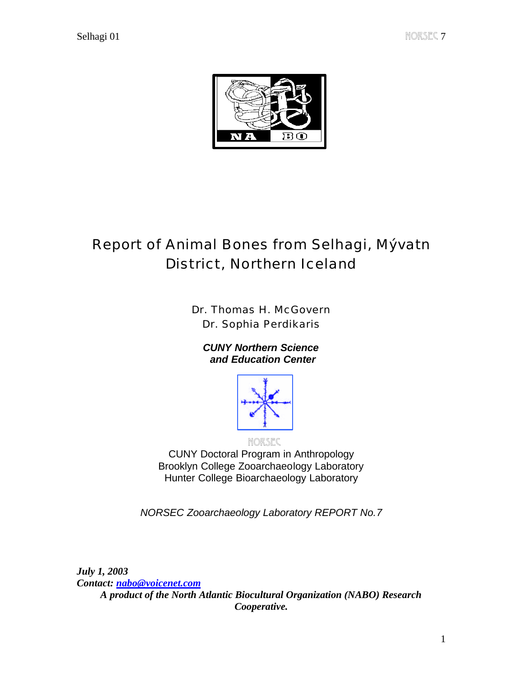

# Report of Animal Bones from Selhagi, Mývatn District, Northern Iceland

Dr. Thomas H. McGovern Dr. Sophia Perdikaris

*CUNY Northern Science and Education Center*



NORSEC

CUNY Doctoral Program in Anthropology Brooklyn College Zooarchaeology Laboratory Hunter College Bioarchaeology Laboratory

*NORSEC Zooarchaeology Laboratory REPORT No.7*

*July 1, 2003 Contact: nabo@voicenet.com A product of the North Atlantic Biocultural Organization (NABO) Research Cooperative.*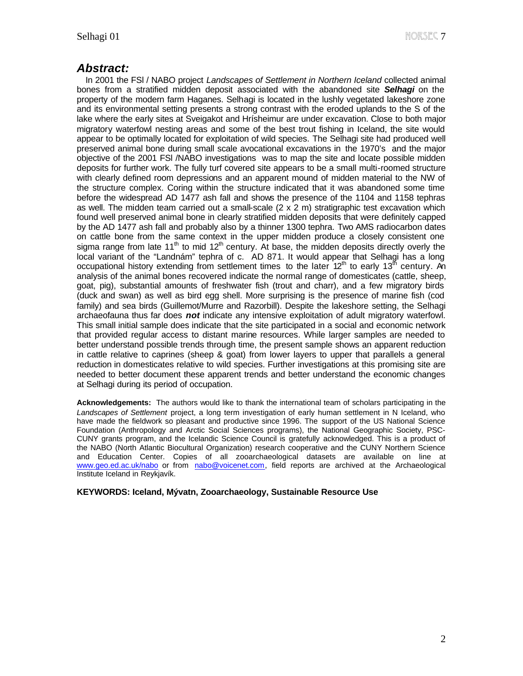### *Abstract:*

 In 2001 the FSl / NABO project *Landscapes of Settlement in Northern Iceland* collected animal bones from a stratified midden deposit associated with the abandoned site *Selhagi* on the property of the modern farm Haganes. Selhagi is located in the lushly vegetated lakeshore zone and its environmental setting presents a strong contrast with the eroded uplands to the S of the lake where the early sites at Sveigakot and Hrísheimur are under excavation. Close to both major migratory waterfowl nesting areas and some of the best trout fishing in Iceland, the site would appear to be optimally located for exploitation of wild species. The Selhagi site had produced well preserved animal bone during small scale avocational excavations in the 1970's and the major objective of the 2001 FSl /NABO investigations was to map the site and locate possible midden deposits for further work. The fully turf covered site appears to be a small multi-roomed structure with clearly defined room depressions and an apparent mound of midden material to the NW of the structure complex. Coring within the structure indicated that it was abandoned some time before the widespread AD 1477 ash fall and shows the presence of the 1104 and 1158 tephras as well. The midden team carried out a small-scale  $(2 \times 2 \text{ m})$  stratigraphic test excavation which found well preserved animal bone in clearly stratified midden deposits that were definitely capped by the AD 1477 ash fall and probably also by a thinner 1300 tephra. Two AMS radiocarbon dates on cattle bone from the same context in the upper midden produce a closely consistent one sigma range from late 11<sup>th</sup> to mid 12<sup>th</sup> century. At base, the midden deposits directly overly the local variant of the "Landnám" tephra of c. AD 871. It would appear that Selhagi has a long occupational history extending from settlement times to the later  $12<sup>th</sup>$  to early  $13<sup>th</sup>$  century. An analysis of the animal bones recovered indicate the normal range of domesticates (cattle, sheep, goat, pig), substantial amounts of freshwater fish (trout and charr), and a few migratory birds (duck and swan) as well as bird egg shell. More surprising is the presence of marine fish (cod family) and sea birds (Guillemot/Murre and Razorbill). Despite the lakeshore setting, the Selhagi archaeofauna thus far does *not* indicate any intensive exploitation of adult migratory waterfowl. This small initial sample does indicate that the site participated in a social and economic network that provided regular access to distant marine resources. While larger samples are needed to better understand possible trends through time, the present sample shows an apparent reduction in cattle relative to caprines (sheep & goat) from lower layers to upper that parallels a general reduction in domesticates relative to wild species. Further investigations at this promising site are needed to better document these apparent trends and better understand the economic changes at Selhagi during its period of occupation.

**Acknowledgements:** The authors would like to thank the international team of scholars participating in the *Landscapes of Settlement* project, a long term investigation of early human settlement in N Iceland, who have made the fieldwork so pleasant and productive since 1996. The support of the US National Science Foundation (Anthropology and Arctic Social Sciences programs), the National Geographic Society, PSC-CUNY grants program, and the Icelandic Science Council is gratefully acknowledged. This is a product of the NABO (North Atlantic Biocultural Organization) research cooperative and the CUNY Northern Science and Education Center. Copies of all zooarchaeological datasets are available on line at www.geo.ed.ac.uk/nabo or from nabo@voicenet.com, field reports are archived at the Archaeological Institute Iceland in Reykjavík.

#### **KEYWORDS: Iceland, Mývatn, Zooarchaeology, Sustainable Resource Use**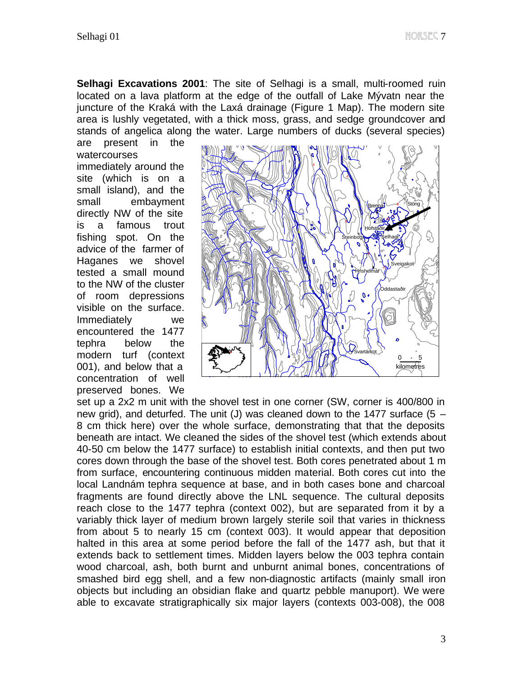**Selhagi Excavations 2001**: The site of Selhagi is a small, multi-roomed ruin located on a lava platform at the edge of the outfall of Lake Mývatn near the juncture of the Kraká with the Laxá drainage (Figure 1 Map). The modern site area is lushly vegetated, with a thick moss, grass, and sedge groundcover and stands of angelica along the water. Large numbers of ducks (several species)

are present in the watercourses immediately around the site (which is on a small island), and the small embayment directly NW of the site is a famous trout fishing spot. On the advice of the farmer of Haganes we shovel tested a small mound to the NW of the cluster of room depressions visible on the surface. Immediately we encountered the 1477 tephra below the modern turf (context 001), and below that a concentration of well preserved bones. We



set up a 2x2 m unit with the shovel test in one corner (SW, corner is 400/800 in new grid), and deturfed. The unit (J) was cleaned down to the 1477 surface (5 – 8 cm thick here) over the whole surface, demonstrating that that the deposits beneath are intact. We cleaned the sides of the shovel test (which extends about 40-50 cm below the 1477 surface) to establish initial contexts, and then put two cores down through the base of the shovel test. Both cores penetrated about 1 m from surface, encountering continuous midden material. Both cores cut into the local Landnám tephra sequence at base, and in both cases bone and charcoal fragments are found directly above the LNL sequence. The cultural deposits reach close to the 1477 tephra (context 002), but are separated from it by a variably thick layer of medium brown largely sterile soil that varies in thickness from about 5 to nearly 15 cm (context 003). It would appear that deposition halted in this area at some period before the fall of the 1477 ash, but that it extends back to settlement times. Midden layers below the 003 tephra contain wood charcoal, ash, both burnt and unburnt animal bones, concentrations of smashed bird egg shell, and a few non-diagnostic artifacts (mainly small iron objects but including an obsidian flake and quartz pebble manuport). We were able to excavate stratigraphically six major layers (contexts 003-008), the 008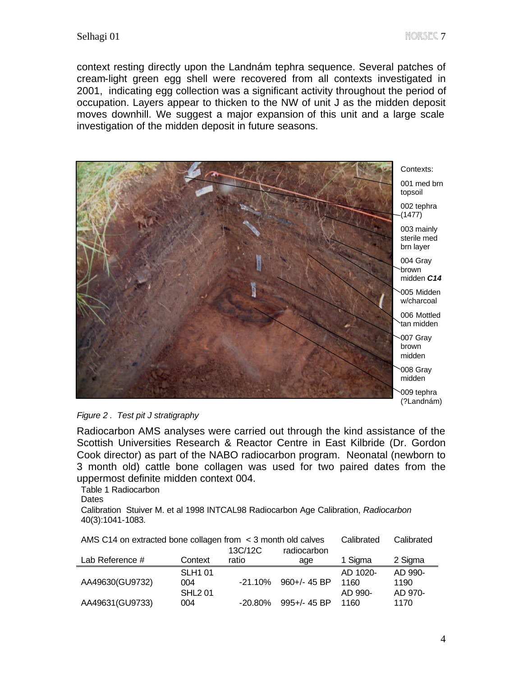context resting directly upon the Landnám tephra sequence. Several patches of cream-light green egg shell were recovered from all contexts investigated in 2001, indicating egg collection was a significant activity throughout the period of occupation. Layers appear to thicken to the NW of unit J as the midden deposit moves downhill. We suggest a major expansion of this unit and a large scale investigation of the midden deposit in future seasons.





Radiocarbon AMS analyses were carried out through the kind assistance of the Scottish Universities Research & Reactor Centre in East Kilbride (Dr. Gordon Cook director) as part of the NABO radiocarbon program. Neonatal (newborn to 3 month old) cattle bone collagen was used for two paired dates from the uppermost definite midden context 004.

Table 1 Radiocarbon

**Dates** 

Calibration Stuiver M. et al 1998 INTCAL98 Radiocarbon Age Calibration, *Radiocarbon*  40(3):1041-1083.

| AMS C14 on extracted bone collagen from $\leq$ 3 month old calves | Calibrated     | Calibrated |                   |          |         |
|-------------------------------------------------------------------|----------------|------------|-------------------|----------|---------|
|                                                                   |                | 13C/12C    | radiocarbon       |          |         |
| Lab Reference #                                                   | Context        | ratio      | age               | 1 Sigma  | 2 Sigma |
|                                                                   | <b>SLH1 01</b> |            |                   | AD 1020- | AD 990- |
| AA49630(GU9732)                                                   | 004            | -21.10%    | $960 +/- 45$ BP   | 1160     | 1190    |
|                                                                   | <b>SHL201</b>  |            |                   | AD 990-  | AD 970- |
| AA49631(GU9733)                                                   | 004            | $-20.80\%$ | $995 + / - 45$ BP | 1160     | 1170    |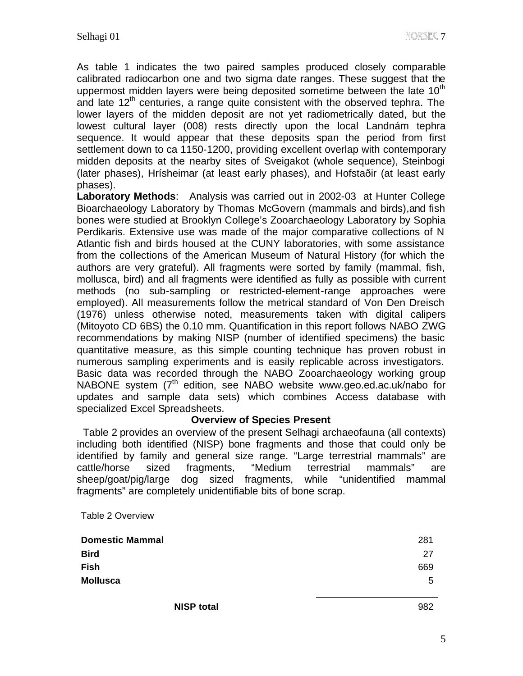As table 1 indicates the two paired samples produced closely comparable calibrated radiocarbon one and two sigma date ranges. These suggest that the uppermost midden layers were being deposited sometime between the late  $10<sup>th</sup>$ and late  $12<sup>th</sup>$  centuries, a range quite consistent with the observed tephra. The lower layers of the midden deposit are not yet radiometrically dated, but the lowest cultural layer (008) rests directly upon the local Landnám tephra sequence. It would appear that these deposits span the period from first settlement down to ca 1150-1200, providing excellent overlap with contemporary midden deposits at the nearby sites of Sveigakot (whole sequence), Steinbogi (later phases), Hrísheimar (at least early phases), and Hofstaðir (at least early phases).

**Laboratory Methods**: Analysis was carried out in 2002-03 at Hunter College Bioarchaeology Laboratory by Thomas McGovern (mammals and birds),and fish bones were studied at Brooklyn College's Zooarchaeology Laboratory by Sophia Perdikaris. Extensive use was made of the major comparative collections of N Atlantic fish and birds housed at the CUNY laboratories, with some assistance from the collections of the American Museum of Natural History (for which the authors are very grateful). All fragments were sorted by family (mammal, fish, mollusca, bird) and all fragments were identified as fully as possible with current methods (no sub-sampling or restricted-element-range approaches were employed). All measurements follow the metrical standard of Von Den Dreisch (1976) unless otherwise noted, measurements taken with digital calipers (Mitoyoto CD 6BS) the 0.10 mm. Quantification in this report follows NABO ZWG recommendations by making NISP (number of identified specimens) the basic quantitative measure, as this simple counting technique has proven robust in numerous sampling experiments and is easily replicable across investigators. Basic data was recorded through the NABO Zooarchaeology working group NABONE system  $7<sup>th</sup>$  edition, see NABO website www.geo.ed.ac.uk/nabo for updates and sample data sets) which combines Access database with specialized Excel Spreadsheets.

#### **Overview of Species Present**

 Table 2 provides an overview of the present Selhagi archaeofauna (all contexts) including both identified (NISP) bone fragments and those that could only be identified by family and general size range. "Large terrestrial mammals" are cattle/horse sized fragments, "Medium terrestrial mammals" are sheep/goat/pig/large dog sized fragments, while "unidentified mammal fragments" are completely unidentifiable bits of bone scrap.

Table 2 Overview

| <b>Domestic Mammal</b> | 281 |
|------------------------|-----|
| <b>Bird</b>            | 27  |
| <b>Fish</b>            | 669 |
| <b>Mollusca</b>        | 5   |
|                        |     |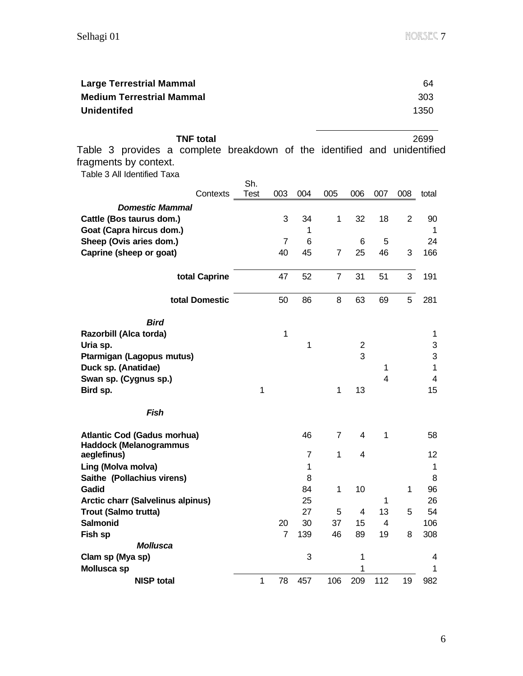| <b>Large Terrestrial Mammal</b>  | 64   |
|----------------------------------|------|
| <b>Medium Terrestrial Mammal</b> | 303  |
| <b>Unidentifed</b>               | 1350 |

**TNF total** 2699 Table 3 provides a complete breakdown of the identified and unidentified fragments by context. Table 3 All Identified Taxa **Contexts** Sh. Test 003 004 005 006 007 008 total *Domestic Mammal* **Cattle (Bos taurus dom.)** 3 3 3 3 4 1 3 3 18 2 9 9 3 4 5 1 3 3 4 5 1 3 3 4 5 1 3 4 5 1 3 4 5 1 3 4 5 1 3 4 5 1 3 4 5 1  $\pm$  1 3  $\pm$  1 3  $\pm$  1 3  $\pm$  1 3  $\pm$  1  $\pm$  1  $\pm$  1  $\pm$  1  $\pm$  1  $\pm$  1  $\pm$  1  $\pm$  1  $\pm$  1  $\pm$ **Goat (Capra hircus dom.)** 1 **Sheep (Ovis aries dom.)** 7 6 6 5 24 **Caprine (sheep or goat)** 40 45 7 25 46 3 166 **total Caprine** 47 52 7 31 51 3 191 **total Domestic** 50 86 8 63 69 5 281 *Bird* **Razorbill (Alca torda)** 1 1 **Uria sp.** 1 2 3 **Ptarmigan (Lagopus mutus)** 3 3 **Duck sp. (Anatidae)** 1 1 **Swan sp. (Cygnus sp.)** 4 4 4 4 4 4 4 4 4 4 4 4 5  $\mu$  and 4 5  $\mu$  and 4 5  $\mu$  and 4 5  $\mu$  and 4 4  $\mu$  5  $\mu$  5  $\mu$  5  $\mu$  5  $\mu$  5  $\mu$  5  $\mu$  5  $\mu$  5  $\mu$  5  $\mu$  5  $\mu$  5  $\mu$  5  $\mu$  5  $\mu$  5  $\mu$  5  $\mu$  5  $\mu$  5 **Bird sp.** 1 1 13 15 *Fish* **Atlantic Cod (Gadus morhua)** 46 7 4 1 58 **Haddock (Melanogrammus aeglefinus)** 7 1 4 12 **Ling (Molva molva)** 1 1 **Saithe (Pollachius virens)** 8 8 **Gadid** 84 1 10 1 96 **Arctic charr (Salvelinus alpinus)** 25 1 26 **Trout (Salmo trutta)** 27 5 4 13 5 54 **Salmonid** 20 30 37 15 4 106 **Fish sp** 7 139 46 89 19 8 308 *Mollusca* **Clam sp (Mya sp)** 3 1 4 4 **Mollusca sp** 1 1

**NISP total** 1 78 457 106 209 112 19 982

6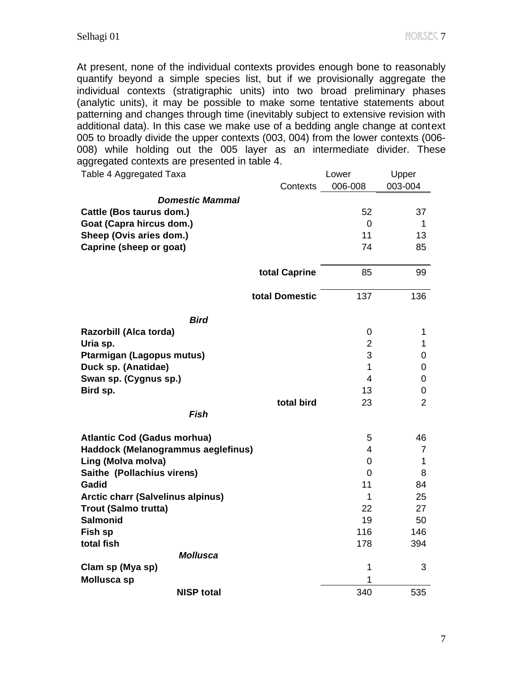At present, none of the individual contexts provides enough bone to reasonably quantify beyond a simple species list, but if we provisionally aggregate the individual contexts (stratigraphic units) into two broad preliminary phases (analytic units), it may be possible to make some tentative statements about patterning and changes through time (inevitably subject to extensive revision with additional data). In this case we make use of a bedding angle change at context 005 to broadly divide the upper contexts (003, 004) from the lower contexts (006- 008) while holding out the 005 layer as an intermediate divider. These aggregated contexts are presented in table 4. Table 4 Aggregated Taxa Lower Upper

| Table 4 Ayyıcyalcu Taxa                  | ∟∪w⇔ı          | υμμαι          |
|------------------------------------------|----------------|----------------|
| Contexts                                 | 006-008        | 003-004        |
| <b>Domestic Mammal</b>                   |                |                |
| Cattle (Bos taurus dom.)                 | 52             | 37             |
| Goat (Capra hircus dom.)                 | $\mathbf 0$    | 1              |
| Sheep (Ovis aries dom.)                  | 11             | 13             |
| Caprine (sheep or goat)                  | 74             | 85             |
|                                          |                |                |
| total Caprine                            | 85             | 99             |
| total Domestic                           | 137            | 136            |
| <b>Bird</b>                              |                |                |
| Razorbill (Alca torda)                   | $\mathbf 0$    | 1              |
| Uria sp.                                 | $\overline{2}$ | 1              |
| Ptarmigan (Lagopus mutus)                | 3              | 0              |
| Duck sp. (Anatidae)                      | $\mathbf{1}$   | 0              |
| Swan sp. (Cygnus sp.)                    | $\overline{4}$ | 0              |
| Bird sp.                                 | 13             | 0              |
| total bird                               | 23             | $\overline{2}$ |
| <b>Fish</b>                              |                |                |
| <b>Atlantic Cod (Gadus morhua)</b>       | 5              | 46             |
| Haddock (Melanogrammus aeglefinus)       | 4              | 7              |
| Ling (Molva molva)                       | 0              | 1              |
| Saithe (Pollachius virens)               | $\mathbf 0$    | 8              |
| Gadid                                    | 11             | 84             |
| <b>Arctic charr (Salvelinus alpinus)</b> | 1              | 25             |
| <b>Trout (Salmo trutta)</b>              | 22             | 27             |
| <b>Salmonid</b>                          | 19             | 50             |
| Fish sp                                  | 116            | 146            |
| total fish                               | 178            | 394            |
| <b>Mollusca</b>                          |                |                |
| Clam sp (Mya sp)                         | 1              | 3              |
| <b>Mollusca sp</b>                       | 1              |                |
| <b>NISP total</b>                        | 340            | 535            |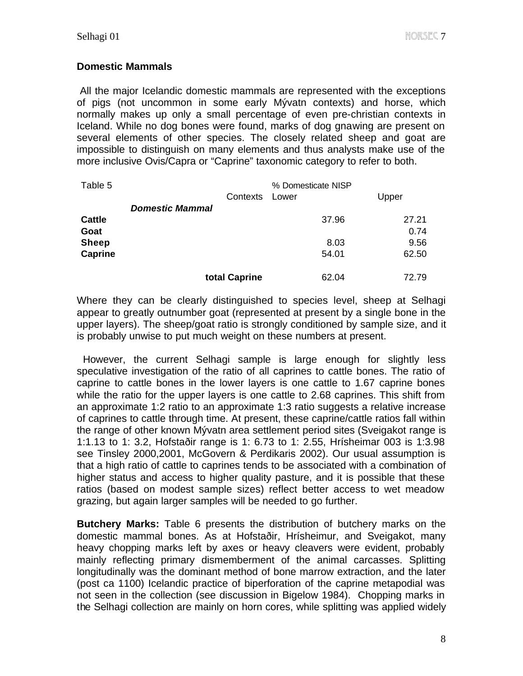#### **Domestic Mammals**

All the major Icelandic domestic mammals are represented with the exceptions of pigs (not uncommon in some early Mývatn contexts) and horse, which normally makes up only a small percentage of even pre-christian contexts in Iceland. While no dog bones were found, marks of dog gnawing are present on several elements of other species. The closely related sheep and goat are impossible to distinguish on many elements and thus analysts make use of the more inclusive Ovis/Capra or "Caprine" taxonomic category to refer to both.

| Table 5        |                        | Contexts      | % Domesticate NISP<br>Lower | Upper |
|----------------|------------------------|---------------|-----------------------------|-------|
|                | <b>Domestic Mammal</b> |               |                             |       |
| <b>Cattle</b>  |                        |               | 37.96                       | 27.21 |
| Goat           |                        |               |                             | 0.74  |
| <b>Sheep</b>   |                        |               | 8.03                        | 9.56  |
| <b>Caprine</b> |                        |               | 54.01                       | 62.50 |
|                |                        |               |                             |       |
|                |                        | total Caprine | 62.04                       | 72.79 |

Where they can be clearly distinguished to species level, sheep at Selhagi appear to greatly outnumber goat (represented at present by a single bone in the upper layers). The sheep/goat ratio is strongly conditioned by sample size, and it is probably unwise to put much weight on these numbers at present.

 However, the current Selhagi sample is large enough for slightly less speculative investigation of the ratio of all caprines to cattle bones. The ratio of caprine to cattle bones in the lower layers is one cattle to 1.67 caprine bones while the ratio for the upper layers is one cattle to 2.68 caprines. This shift from an approximate 1:2 ratio to an approximate 1:3 ratio suggests a relative increase of caprines to cattle through time. At present, these caprine/cattle ratios fall within the range of other known Mývatn area settlement period sites (Sveigakot range is 1:1.13 to 1: 3.2, Hofstaðir range is 1: 6.73 to 1: 2.55, Hrísheimar 003 is 1:3.98 see Tinsley 2000,2001, McGovern & Perdikaris 2002). Our usual assumption is that a high ratio of cattle to caprines tends to be associated with a combination of higher status and access to higher quality pasture, and it is possible that these ratios (based on modest sample sizes) reflect better access to wet meadow grazing, but again larger samples will be needed to go further.

**Butchery Marks:** Table 6 presents the distribution of butchery marks on the domestic mammal bones. As at Hofstaðir, Hrísheimur, and Sveigakot, many heavy chopping marks left by axes or heavy cleavers were evident, probably mainly reflecting primary dismemberment of the animal carcasses. Splitting longitudinally was the dominant method of bone marrow extraction, and the later (post ca 1100) Icelandic practice of biperforation of the caprine metapodial was not seen in the collection (see discussion in Bigelow 1984). Chopping marks in the Selhagi collection are mainly on horn cores, while splitting was applied widely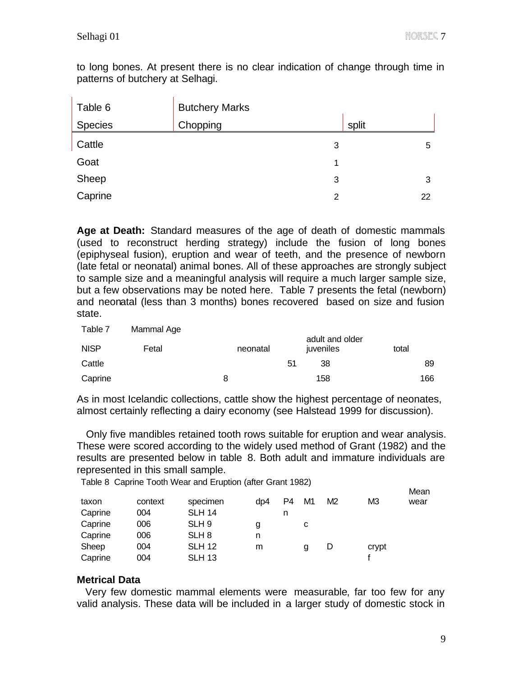to long bones. At present there is no clear indication of change through time in patterns of butchery at Selhagi.

| Table 6 | <b>Butchery Marks</b> |   |       |
|---------|-----------------------|---|-------|
| Species | Chopping              |   | split |
| Cattle  |                       | 3 | 5     |
| Goat    |                       | 1 |       |
| Sheep   |                       | 3 | 3     |
| Caprine |                       | 2 | 22    |

**Age at Death:** Standard measures of the age of death of domestic mammals (used to reconstruct herding strategy) include the fusion of long bones (epiphyseal fusion), eruption and wear of teeth, and the presence of newborn (late fetal or neonatal) animal bones. All of these approaches are strongly subject to sample size and a meaningful analysis will require a much larger sample size, but a few observations may be noted here. Table 7 presents the fetal (newborn) and neonatal (less than 3 months) bones recovered based on size and fusion state.

| Table 7     | Mammal Age |          |    |                              |       |
|-------------|------------|----------|----|------------------------------|-------|
| <b>NISP</b> | Fetal      | neonatal |    | adult and older<br>juveniles | total |
| Cattle      |            |          | 51 | 38                           | 89    |
| Caprine     |            | 8        |    | 158                          | 166   |

As in most Icelandic collections, cattle show the highest percentage of neonates, almost certainly reflecting a dairy economy (see Halstead 1999 for discussion).

 Only five mandibles retained tooth rows suitable for eruption and wear analysis. These were scored according to the widely used method of Grant (1982) and the results are presented below in table 8. Both adult and immature individuals are represented in this small sample.

Table 8 Caprine Tooth Wear and Eruption (after Grant 1982)

|         |         |                  |     |    |    |                |                | Mean |
|---------|---------|------------------|-----|----|----|----------------|----------------|------|
| taxon   | context | specimen         | dp4 | P4 | M1 | M <sub>2</sub> | M <sub>3</sub> | wear |
| Caprine | 004     | <b>SLH 14</b>    |     | n  |    |                |                |      |
| Caprine | 006     | SLH <sub>9</sub> | g   |    | С  |                |                |      |
| Caprine | 006     | SLH <sub>8</sub> | n   |    |    |                |                |      |
| Sheep   | 004     | <b>SLH 12</b>    | m   |    | g  | D              | crypt          |      |
| Caprine | 004     | <b>SLH 13</b>    |     |    |    |                |                |      |

### **Metrical Data**

 Very few domestic mammal elements were measurable, far too few for any valid analysis. These data will be included in a larger study of domestic stock in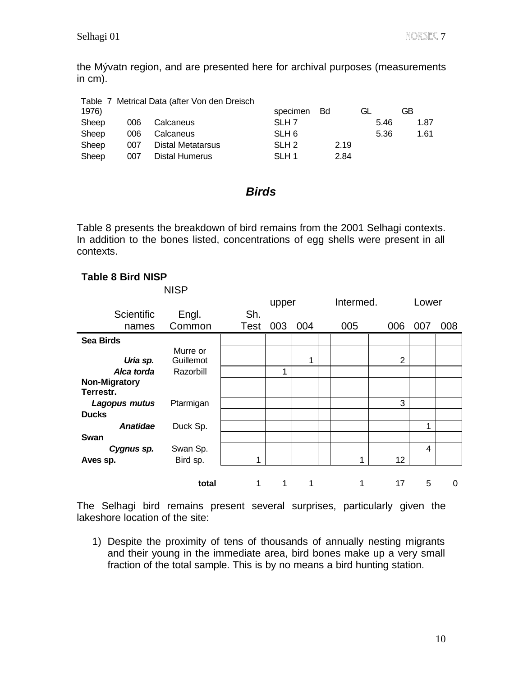the Mývatn region, and are presented here for archival purposes (measurements in cm).

|       |     | Table 7 Metrical Data (after Von den Dreisch |                  |      |      |      |
|-------|-----|----------------------------------------------|------------------|------|------|------|
| 1976) |     |                                              | specimen Bd      |      | GL   | GB   |
| Sheep | 006 | Calcaneus                                    | SLH <sub>7</sub> |      | 5.46 | 1.87 |
| Sheep | 006 | Calcaneus                                    | SLH <sub>6</sub> |      | 5.36 | 1.61 |
| Sheep | 007 | Distal Metatarsus                            | SLH <sub>2</sub> | 2.19 |      |      |
| Sheep | 007 | <b>Distal Humerus</b>                        | SLH 1            | 2.84 |      |      |

## *Birds*

Table 8 presents the breakdown of bird remains from the 2001 Selhagi contexts. In addition to the bones listed, concentrations of egg shells were present in all contexts.

#### **Table 8 Bird NISP**

|                                   | <b>NISP</b> |             |       |             |           |                |       |     |
|-----------------------------------|-------------|-------------|-------|-------------|-----------|----------------|-------|-----|
|                                   |             |             | upper |             | Intermed. |                | Lower |     |
| Scientific                        | Engl.       | Sh.         |       |             |           |                |       |     |
| names                             | Common      | <b>Test</b> | 003   | 004         | 005       | 006            | 007   | 008 |
| <b>Sea Birds</b>                  |             |             |       |             |           |                |       |     |
|                                   | Murre or    |             |       |             |           |                |       |     |
| Uria sp.                          | Guillemot   |             |       | 1           |           | $\overline{2}$ |       |     |
| Alca torda                        | Razorbill   |             | 1     |             |           |                |       |     |
| <b>Non-Migratory</b><br>Terrestr. |             |             |       |             |           |                |       |     |
| Lagopus mutus                     | Ptarmigan   |             |       |             |           | 3              |       |     |
| <b>Ducks</b>                      |             |             |       |             |           |                |       |     |
| <b>Anatidae</b>                   | Duck Sp.    |             |       |             |           |                | 1     |     |
| Swan                              |             |             |       |             |           |                |       |     |
| Cygnus sp.                        | Swan Sp.    |             |       |             |           |                | 4     |     |
| Aves sp.                          | Bird sp.    | 1           |       |             | 1         | 12             |       |     |
|                                   |             |             |       |             |           |                |       |     |
|                                   | total       | 1           | 1     | $\mathbf 1$ | 1         | 17             | 5     | 0   |

The Selhagi bird remains present several surprises, particularly given the lakeshore location of the site:

1) Despite the proximity of tens of thousands of annually nesting migrants and their young in the immediate area, bird bones make up a very small fraction of the total sample. This is by no means a bird hunting station.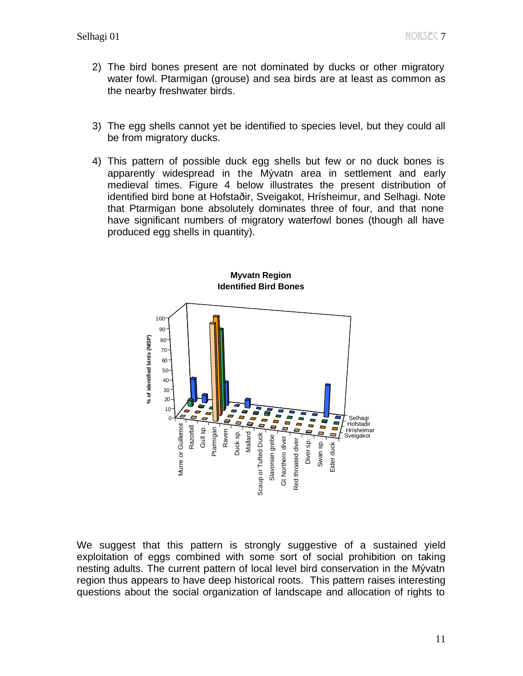- 2) The bird bones present are not dominated by ducks or other migratory water fowl. Ptarmigan (grouse) and sea birds are at least as common as the nearby freshwater birds.
- 3) The egg shells cannot yet be identified to species level, but they could all be from migratory ducks.
- 4) This pattern of possible duck egg shells but few or no duck bones is apparently widespread in the Mývatn area in settlement and early medieval times. Figure 4 below illustrates the present distribution of identified bird bone at Hofstaðir, Sveigakot, Hrísheimur, and Selhagi. Note that Ptarmigan bone absolutely dominates three of four, and that none have significant numbers of migratory waterfowl bones (though all have produced egg shells in quantity).



#### **Myvatn Region Identified Bird Bones**

We suggest that this pattern is strongly suggestive of a sustained yield exploitation of eggs combined with some sort of social prohibition on taking nesting adults. The current pattern of local level bird conservation in the Mývatn region thus appears to have deep historical roots. This pattern raises interesting questions about the social organization of landscape and allocation of rights to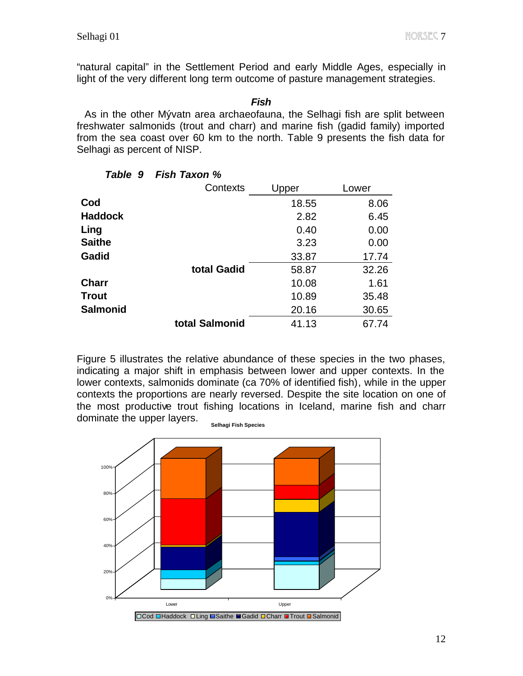"natural capital" in the Settlement Period and early Middle Ages, especially in light of the very different long term outcome of pasture management strategies.

*Fish* As in the other Mývatn area archaeofauna, the Selhagi fish are split between freshwater salmonids (trout and charr) and marine fish (gadid family) imported from the sea coast over 60 km to the north. Table 9 presents the fish data for Selhagi as percent of NISP.

|                 | Contexts       | Upper | Lower |
|-----------------|----------------|-------|-------|
| Cod             |                | 18.55 | 8.06  |
| <b>Haddock</b>  |                | 2.82  | 6.45  |
| Ling            |                | 0.40  | 0.00  |
| <b>Saithe</b>   |                | 3.23  | 0.00  |
| <b>Gadid</b>    |                | 33.87 | 17.74 |
|                 | total Gadid    | 58.87 | 32.26 |
| <b>Charr</b>    |                | 10.08 | 1.61  |
| <b>Trout</b>    |                | 10.89 | 35.48 |
| <b>Salmonid</b> |                | 20.16 | 30.65 |
|                 | total Salmonid | 41.13 | 67.74 |
|                 |                |       |       |

#### *Table 9 Fish Taxon %*

Figure 5 illustrates the relative abundance of these species in the two phases, indicating a major shift in emphasis between lower and upper contexts. In the lower contexts, salmonids dominate (ca 70% of identified fish), while in the upper contexts the proportions are nearly reversed. Despite the site location on one of the most productive trout fishing locations in Iceland, marine fish and charr dominate the upper layers.

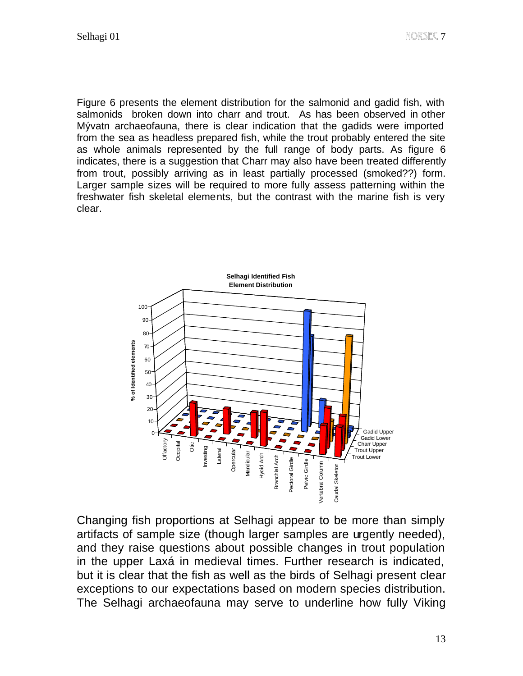Figure 6 presents the element distribution for the salmonid and gadid fish, with salmonids broken down into charr and trout. As has been observed in other Mývatn archaeofauna, there is clear indication that the gadids were imported from the sea as headless prepared fish, while the trout probably entered the site as whole animals represented by the full range of body parts. As figure 6 indicates, there is a suggestion that Charr may also have been treated differently from trout, possibly arriving as in least partially processed (smoked??) form. Larger sample sizes will be required to more fully assess patterning within the freshwater fish skeletal elements, but the contrast with the marine fish is very clear.



Changing fish proportions at Selhagi appear to be more than simply artifacts of sample size (though larger samples are urgently needed), and they raise questions about possible changes in trout population in the upper Laxá in medieval times. Further research is indicated, but it is clear that the fish as well as the birds of Selhagi present clear exceptions to our expectations based on modern species distribution. The Selhagi archaeofauna may serve to underline how fully Viking  $\frac{1}{2}$ <br>
Changing fish proportions at Selhagi appear to be more than simply<br>
antifacts of sample size (though larger samples are urgently needed),<br>
and th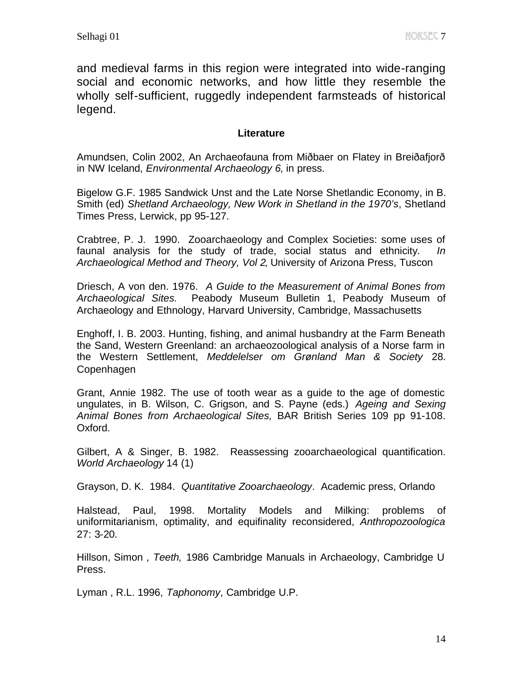and medieval farms in this region were integrated into wide-ranging social and economic networks, and how little they resemble the wholly self-sufficient, ruggedly independent farmsteads of historical legend.

#### **Literature**

Amundsen, Colin 2002, An Archaeofauna from Miðbaer on Flatey in Breiðafjorð in NW Iceland, *Environmental Archaeology 6*, in press.

Bigelow G.F. 1985 Sandwick Unst and the Late Norse Shetlandic Economy, in B. Smith (ed) *Shetland Archaeology, New Work in Shetland in the 1970's*, Shetland Times Press, Lerwick, pp 95-127.

Crabtree, P. J. 1990. Zooarchaeology and Complex Societies: some uses of faunal analysis for the study of trade, social status and ethnicity*. In Archaeological Method and Theory, Vol 2*, University of Arizona Press, Tuscon

Driesch, A von den. 1976. *A Guide to the Measurement of Animal Bones from Archaeological Sites.* Peabody Museum Bulletin 1, Peabody Museum of Archaeology and Ethnology, Harvard University, Cambridge, Massachusetts

Enghoff, I. B. 2003. Hunting, fishing, and animal husbandry at the Farm Beneath the Sand, Western Greenland: an archaeozoological analysis of a Norse farm in the Western Settlement, *Meddelelser om Grønland Man & Society* 28. Copenhagen

Grant, Annie 1982. The use of tooth wear as a guide to the age of domestic ungulates, in B. Wilson, C. Grigson, and S. Payne (eds.) *Ageing and Sexing Animal Bones from Archaeological Sites,* BAR British Series 109 pp 91-108. Oxford.

Gilbert, A & Singer, B. 1982. Reassessing zooarchaeological quantification. *World Archaeology* 14 (1)

Grayson, D. K. 1984. *Quantitative Zooarchaeology*. Academic press, Orlando

Halstead, Paul, 1998. Mortality Models and Milking: problems of uniformitarianism, optimality, and equifinality reconsidered, *Anthropozoologica* 27: 3-20.

Hillson, Simon , *Teeth,* 1986 Cambridge Manuals in Archaeology, Cambridge U Press.

Lyman , R.L. 1996, *Taphonomy*, Cambridge U.P.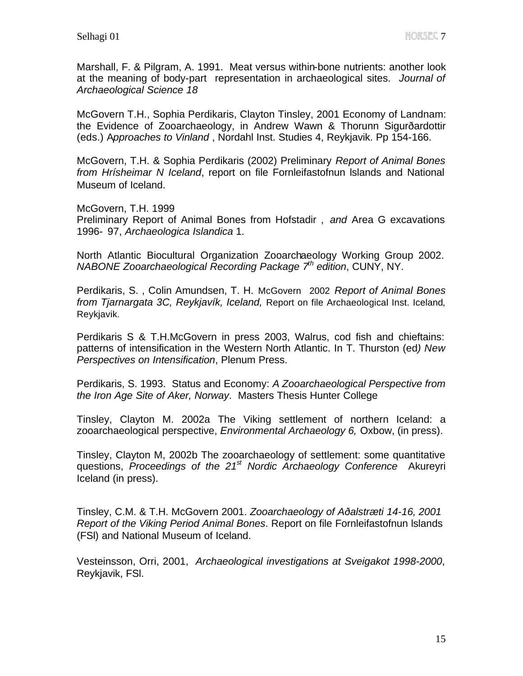Marshall, F. & Pilgram, A. 1991. Meat versus within-bone nutrients: another look at the meaning of body-part representation in archaeological sites. *Journal of Archaeological Science 18*

McGovern T.H., Sophia Perdikaris, Clayton Tinsley, 2001 Economy of Landnam: the Evidence of Zooarchaeology, in Andrew Wawn & Thorunn Sigurðardottir (eds.) A*pproaches to Vinland* , Nordahl Inst. Studies 4, Reykjavik. Pp 154-166.

McGovern, T.H. & Sophia Perdikaris (2002) Preliminary *Report of Animal Bones from Hrísheimar N Iceland*, report on file Fornleifastofnun lslands and National Museum of Iceland.

McGovern, T.H. 1999 Preliminary Report of Animal Bones from Hofstadir , *and* Area G excavations 1996- 97, *Archaeologica Islandica* 1.

North Atlantic Biocultural Organization Zooarchaeology Working Group 2002. *NABONE Zooarchaeological Recording Package 7th edition*, CUNY, NY.

Perdikaris, S. , Colin Amundsen, T. H. McGovern 2002 *Report of Animal Bones from Tjarnargata 3C, Reykjavík, Iceland,* Report on file Archaeological Inst. Iceland, Reykjavik.

Perdikaris S & T.H.McGovern in press 2003, Walrus, cod fish and chieftains: patterns of intensification in the Western North Atlantic. In T. Thurston (ed*) New Perspectives on Intensification*, Plenum Press.

Perdikaris, S. 1993. Status and Economy: *A Zooarchaeological Perspective from the Iron Age Site of Aker, Norway*. Masters Thesis Hunter College

Tinsley, Clayton M. 2002a The Viking settlement of northern Iceland: a zooarchaeological perspective, *Environmental Archaeology 6,* Oxbow, (in press).

Tinsley, Clayton M, 2002b The zooarchaeology of settlement: some quantitative questions, *Proceedings of the 21st Nordic Archaeology Conference* Akureyri Iceland (in press).

Tinsley, C.M. & T.H. McGovern 2001. *Zooarchaeology of Aðalstræti 14-16, 2001 Report of the Viking Period Animal Bones*. Report on file Fornleifastofnun lslands (FSl) and National Museum of Iceland.

Vesteinsson, Orri, 2001, *Archaeological investigations at Sveigakot 1998-2000*, Reykjavik, FSl.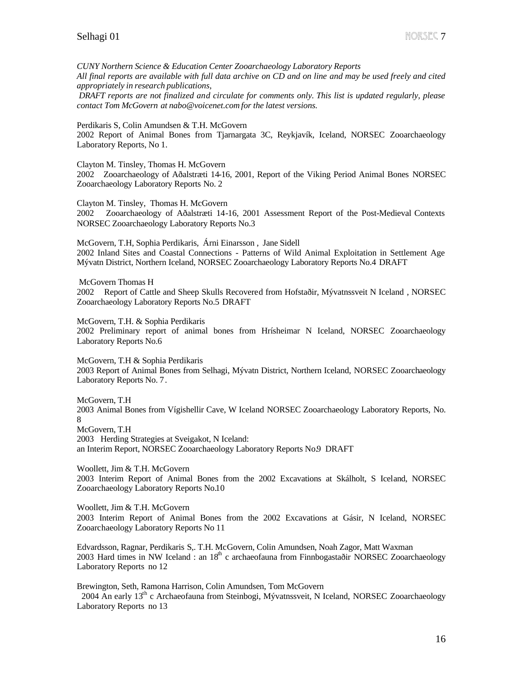*CUNY Northern Science & Education Center Zooarchaeology Laboratory Reports All final reports are available with full data archive on CD and on line and may be used freely and cited appropriately in research publications,*

 *DRAFT reports are not finalized and circulate for comments only. This list is updated regularly, please contact Tom McGovern at nabo@voicenet.com for the latest versions.*

Perdikaris S, Colin Amundsen & T.H. McGovern

2002 Report of Animal Bones from Tjarnargata 3C, Reykjavík, Iceland, NORSEC Zooarchaeology Laboratory Reports, No 1.

Clayton M. Tinsley, Thomas H. McGovern 2002 Zooarchaeology of Aðalstræti 14-16, 2001, Report of the Viking Period Animal Bones NORSEC Zooarchaeology Laboratory Reports No. 2

Clayton M. Tinsley, Thomas H. McGovern

2002 Zooarchaeology of Aðalstræti 14-16, 2001 Assessment Report of the Post-Medieval Contexts NORSEC Zooarchaeology Laboratory Reports No.3

McGovern, T.H, Sophia Perdikaris, Árni Einarsson , Jane Sidell 2002 Inland Sites and Coastal Connections - Patterns of Wild Animal Exploitation in Settlement Age Mývatn District, Northern Iceland, NORSEC Zooarchaeology Laboratory Reports No.4 DRAFT

 McGovern Thomas H 2002 Report of Cattle and Sheep Skulls Recovered from Hofstaðir, Mývatnssveit N Iceland , NORSEC Zooarchaeology Laboratory Reports No.5 DRAFT

McGovern, T.H. & Sophia Perdikaris 2002 Preliminary report of animal bones from Hrísheimar N Iceland, NORSEC Zooarchaeology Laboratory Reports No.6

McGovern, T.H & Sophia Perdikaris 2003 Report of Animal Bones from Selhagi, Mývatn District, Northern Iceland, NORSEC Zooarchaeology Laboratory Reports No. 7.

McGovern, T.H 2003 Animal Bones from Vígishellir Cave, W Iceland NORSEC Zooarchaeology Laboratory Reports, No. 8 McGovern, T.H 2003 Herding Strategies at Sveigakot, N Iceland: an Interim Report, NORSEC Zooarchaeology Laboratory Reports No.9 DRAFT

Woollett, Jim & T.H. McGovern 2003 Interim Report of Animal Bones from the 2002 Excavations at Skálholt, S Iceland, NORSEC Zooarchaeology Laboratory Reports No.10

Woollett, Jim & T.H. McGovern 2003 Interim Report of Animal Bones from the 2002 Excavations at Gásir, N Iceland, NORSEC Zooarchaeology Laboratory Reports No 11

Edvardsson, Ragnar, Perdikaris S,. T.H. McGovern, Colin Amundsen, Noah Zagor, Matt Waxman 2003 Hard times in NW Iceland : an  $18<sup>th</sup>$  c archaeofauna from Finnbogastaðir NORSEC Zooarchaeology Laboratory Reports no 12

Brewington, Seth, Ramona Harrison, Colin Amundsen, Tom McGovern 2004 An early 13<sup>th</sup> c Archaeofauna from Steinbogi, Mývatnssveit, N Iceland, NORSEC Zooarchaeology Laboratory Reports no 13